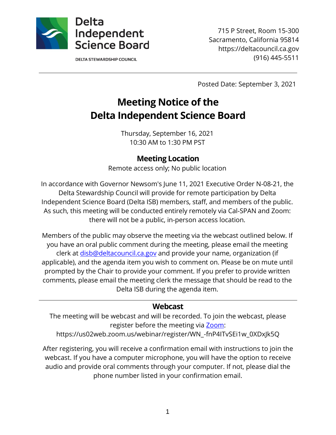

**DELTA STEWARDSHIP COUNCIL** 

715 P Street, Room 15-300 Sacramento, California 95814 https://deltacouncil.ca.gov (916) 445-5511

Posted Date: September 3, 2021

# **Meeting Notice of the Delta Independent Science Board**

Thursday, September 16, 2021 10:30 AM to 1:30 PM PST

#### **Meeting Location**

Remote access only; No public location

In accordance with Governor Newsom's June 11, 2021 Executive Order N-08-21, the Delta Stewardship Council will provide for remote participation by Delta Independent Science Board (Delta ISB) members, staff, and members of the public. As such, this meeting will be conducted entirely remotely via Cal-SPAN and Zoom: there will not be a public, in-person access location.

Members of the public may observe the meeting via the webcast outlined below. If you have an oral public comment during the meeting, please email the meeting clerk at [disb@deltacouncil.ca.gov](mailto:disb@deltacouncil.ca.gov) and provide your name, organization (if applicable), and the agenda item you wish to comment on. Please be on mute until prompted by the Chair to provide your comment. If you prefer to provide written comments, please email the meeting clerk the message that should be read to the Delta ISB during the agenda item.

#### **Webcast**

The meeting will be webcast and will be recorded. To join the webcast, please register before the meeting via [Zoom:](https://us02web.zoom.us/webinar/register/WN_-fnP4ITvSEi1w_0XDxJk5Q) https://us02web.zoom.us/webinar/register/WN\_-fnP4ITvSEi1w\_0XDxJk5Q

After registering, you will receive a confirmation email with instructions to join the webcast. If you have a computer microphone, you will have the option to receive audio and provide oral comments through your computer. If not, please dial the phone number listed in your confirmation email.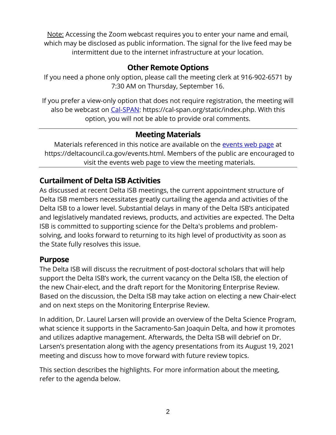Note: Accessing the Zoom webcast requires you to enter your name and email, which may be disclosed as public information. The signal for the live feed may be intermittent due to the internet infrastructure at your location.

#### **Other Remote Options**

If you need a phone only option, please call the meeting clerk at 916-902-6571 by 7:30 AM on Thursday, September 16.

If you prefer a view-only option that does not require registration, the meeting will also be webcast on [Cal-SPAN:](https://cal-span.org/static/index.php) https://cal-span.org/static/index.php. With this option, you will not be able to provide oral comments.

#### **Meeting Materials**

Materials referenced in this notice are available on the [events web page](https://deltacouncil.ca.gov/events.html) at https://deltacouncil.ca.gov/events.html. Members of the public are encouraged to visit the events web page to view the meeting materials.

## **Curtailment of Delta ISB Activities**

As discussed at recent Delta ISB meetings, the current appointment structure of Delta ISB members necessitates greatly curtailing the agenda and activities of the Delta ISB to a lower level. Substantial delays in many of the Delta ISB's anticipated and legislatively mandated reviews, products, and activities are expected. The Delta ISB is committed to supporting science for the Delta's problems and problemsolving, and looks forward to returning to its high level of productivity as soon as the State fully resolves this issue.

#### **Purpose**

The Delta ISB will discuss the recruitment of post-doctoral scholars that will help support the Delta ISB's work, the current vacancy on the Delta ISB, the election of the new Chair-elect, and the draft report for the Monitoring Enterprise Review. Based on the discussion, the Delta ISB may take action on electing a new Chair-elect and on next steps on the Monitoring Enterprise Review.

In addition, Dr. Laurel Larsen will provide an overview of the Delta Science Program, what science it supports in the Sacramento-San Joaquin Delta, and how it promotes and utilizes adaptive management. Afterwards, the Delta ISB will debrief on Dr. Larsen's presentation along with the agency presentations from its August 19, 2021 meeting and discuss how to move forward with future review topics.

This section describes the highlights. For more information about the meeting, refer to the agenda below.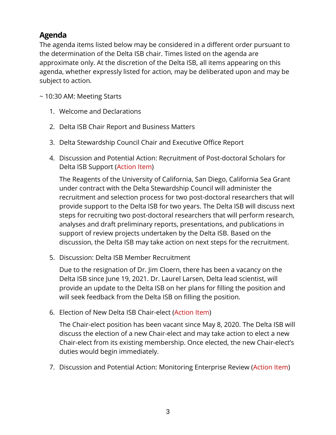### **Agenda**

The agenda items listed below may be considered in a different order pursuant to the determination of the Delta ISB chair. Times listed on the agenda are approximate only. At the discretion of the Delta ISB, all items appearing on this agenda, whether expressly listed for action, may be deliberated upon and may be subject to action.

~ 10:30 AM: Meeting Starts

- 1. Welcome and Declarations
- 2. Delta ISB Chair Report and Business Matters
- 3. Delta Stewardship Council Chair and Executive Office Report
- 4. Discussion and Potential Action: Recruitment of Post-doctoral Scholars for Delta ISB Support (Action Item)

The Reagents of the University of California, San Diego, California Sea Grant under contract with the Delta Stewardship Council will administer the recruitment and selection process for two post-doctoral researchers that will provide support to the Delta ISB for two years. The Delta ISB will discuss next steps for recruiting two post-doctoral researchers that will perform research, analyses and draft preliminary reports, presentations, and publications in support of review projects undertaken by the Delta ISB. Based on the discussion, the Delta ISB may take action on next steps for the recruitment.

5. Discussion: Delta ISB Member Recruitment

Due to the resignation of Dr. Jim Cloern, there has been a vacancy on the Delta ISB since June 19, 2021. Dr. Laurel Larsen, Delta lead scientist, will provide an update to the Delta ISB on her plans for filling the position and will seek feedback from the Delta ISB on filling the position.

6. Election of New Delta ISB Chair-elect (Action Item)

The Chair-elect position has been vacant since May 8, 2020. The Delta ISB will discuss the election of a new Chair-elect and may take action to elect a new Chair-elect from its existing membership. Once elected, the new Chair-elect's duties would begin immediately.

7. Discussion and Potential Action: Monitoring Enterprise Review (Action Item)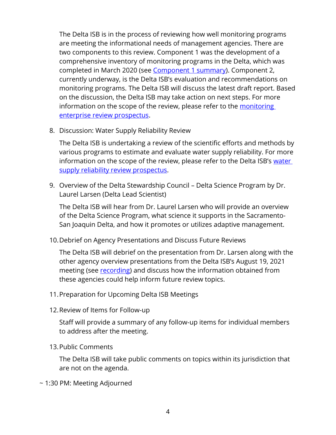The Delta ISB is in the process of reviewing how well monitoring programs are meeting the informational needs of management agencies. There are two components to this review. Component 1 was the development of a comprehensive inventory of monitoring programs in the Delta, which was completed in March 2020 (see [Component 1 summary\)](http://www.deltacouncil.ca.gov/pdf/isb/products/2020-03-31-isb-monitoring-enterprise-review-brochure.pdf). Component 2, currently underway, is the Delta ISB's evaluation and recommendations on monitoring programs. The Delta ISB will discuss the latest draft report. Based on the discussion, the Delta ISB may take action on next steps. For more information on the scope of the review, please refer to the monitoring [enterprise review prospectus.](http://deltacouncil.ca.gov/pdf/isb/products/2017-04-06-isb-mer-prospectus.pdf)

8. Discussion: Water Supply Reliability Review

The Delta ISB is undertaking a review of the scientific efforts and methods by various programs to estimate and evaluate water supply reliability. For more information on the scope of the review, please refer to the Delta ISB's water [supply reliability review prospectus.](http://deltacouncil.ca.gov/pdf/isb/products/2018-04-03-isb-water-supply-prospectus.pdf)

9. Overview of the Delta Stewardship Council – Delta Science Program by Dr. Laurel Larsen (Delta Lead Scientist)

The Delta ISB will hear from Dr. Laurel Larsen who will provide an overview of the Delta Science Program, what science it supports in the Sacramento-San Joaquin Delta, and how it promotes or utilizes adaptive management.

10.Debrief on Agency Presentations and Discuss Future Reviews

The Delta ISB will debrief on the presentation from Dr. Larsen along with the other agency overview presentations from the Delta ISB's August 19, 2021 meeting (see [recording\)](https://cal-span.org/unipage/?site=cal-span&owner=DISB&date=2021-08-20) and discuss how the information obtained from these agencies could help inform future review topics.

- 11.Preparation for Upcoming Delta ISB Meetings
- 12.Review of Items for Follow-up

Staff will provide a summary of any follow-up items for individual members to address after the meeting.

13.Public Comments

The Delta ISB will take public comments on topics within its jurisdiction that are not on the agenda.

~ 1:30 PM: Meeting Adjourned